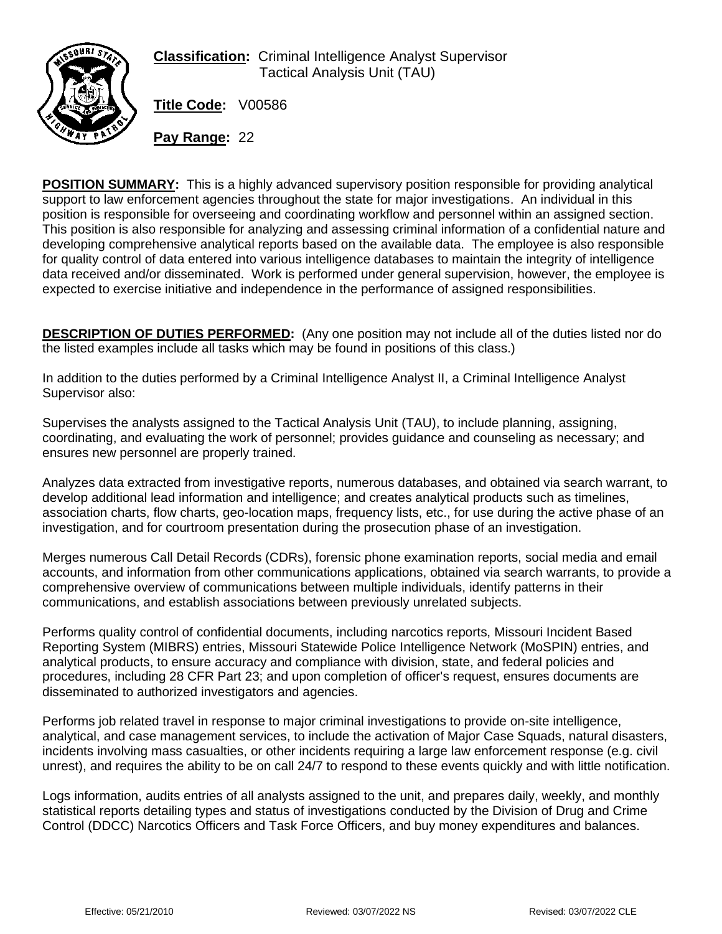

**Classification:** Criminal Intelligence Analyst Supervisor Tactical Analysis Unit (TAU)

**Title Code:** V00586

**Pay Range:** 22

**POSITION SUMMARY:** This is a highly advanced supervisory position responsible for providing analytical support to law enforcement agencies throughout the state for major investigations. An individual in this position is responsible for overseeing and coordinating workflow and personnel within an assigned section. This position is also responsible for analyzing and assessing criminal information of a confidential nature and developing comprehensive analytical reports based on the available data. The employee is also responsible for quality control of data entered into various intelligence databases to maintain the integrity of intelligence data received and/or disseminated. Work is performed under general supervision, however, the employee is expected to exercise initiative and independence in the performance of assigned responsibilities.

**DESCRIPTION OF DUTIES PERFORMED:** (Any one position may not include all of the duties listed nor do the listed examples include all tasks which may be found in positions of this class.)

In addition to the duties performed by a Criminal Intelligence Analyst II, a Criminal Intelligence Analyst Supervisor also:

Supervises the analysts assigned to the Tactical Analysis Unit (TAU), to include planning, assigning, coordinating, and evaluating the work of personnel; provides guidance and counseling as necessary; and ensures new personnel are properly trained.

Analyzes data extracted from investigative reports, numerous databases, and obtained via search warrant, to develop additional lead information and intelligence; and creates analytical products such as timelines, association charts, flow charts, geo-location maps, frequency lists, etc., for use during the active phase of an investigation, and for courtroom presentation during the prosecution phase of an investigation.

Merges numerous Call Detail Records (CDRs), forensic phone examination reports, social media and email accounts, and information from other communications applications, obtained via search warrants, to provide a comprehensive overview of communications between multiple individuals, identify patterns in their communications, and establish associations between previously unrelated subjects.

Performs quality control of confidential documents, including narcotics reports, Missouri Incident Based Reporting System (MIBRS) entries, Missouri Statewide Police Intelligence Network (MoSPIN) entries, and analytical products, to ensure accuracy and compliance with division, state, and federal policies and procedures, including 28 CFR Part 23; and upon completion of officer's request, ensures documents are disseminated to authorized investigators and agencies.

Performs job related travel in response to major criminal investigations to provide on-site intelligence, analytical, and case management services, to include the activation of Major Case Squads, natural disasters, incidents involving mass casualties, or other incidents requiring a large law enforcement response (e.g. civil unrest), and requires the ability to be on call 24/7 to respond to these events quickly and with little notification.

Logs information, audits entries of all analysts assigned to the unit, and prepares daily, weekly, and monthly statistical reports detailing types and status of investigations conducted by the Division of Drug and Crime Control (DDCC) Narcotics Officers and Task Force Officers, and buy money expenditures and balances.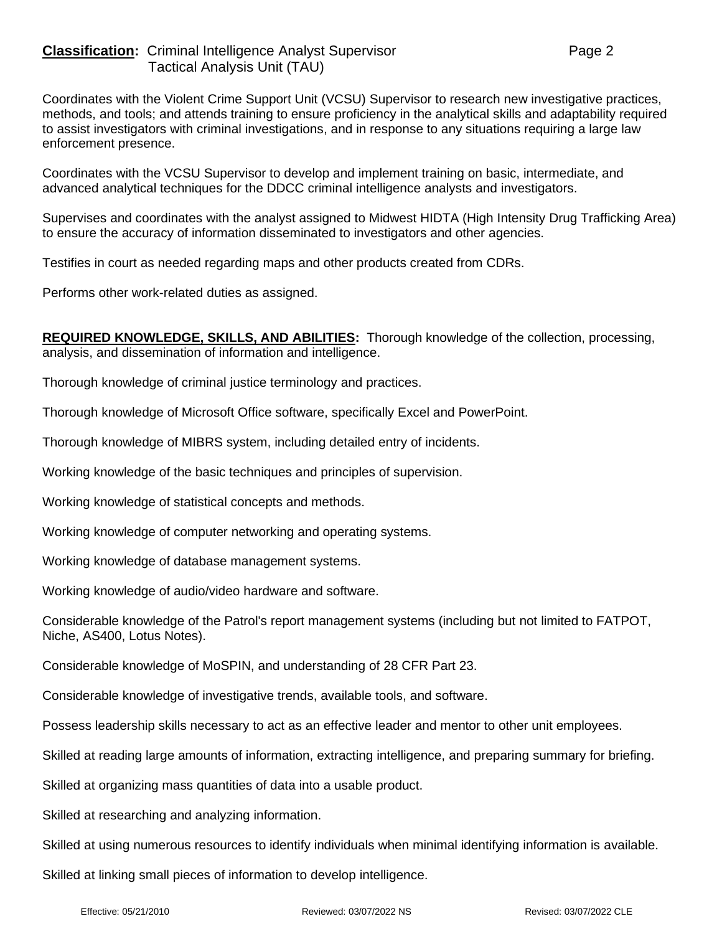Coordinates with the Violent Crime Support Unit (VCSU) Supervisor to research new investigative practices, methods, and tools; and attends training to ensure proficiency in the analytical skills and adaptability required to assist investigators with criminal investigations, and in response to any situations requiring a large law enforcement presence.

Coordinates with the VCSU Supervisor to develop and implement training on basic, intermediate, and advanced analytical techniques for the DDCC criminal intelligence analysts and investigators.

Supervises and coordinates with the analyst assigned to Midwest HIDTA (High Intensity Drug Trafficking Area) to ensure the accuracy of information disseminated to investigators and other agencies.

Testifies in court as needed regarding maps and other products created from CDRs.

Performs other work-related duties as assigned.

**REQUIRED KNOWLEDGE, SKILLS, AND ABILITIES:** Thorough knowledge of the collection, processing, analysis, and dissemination of information and intelligence.

Thorough knowledge of criminal justice terminology and practices.

Thorough knowledge of Microsoft Office software, specifically Excel and PowerPoint.

Thorough knowledge of MIBRS system, including detailed entry of incidents.

Working knowledge of the basic techniques and principles of supervision.

Working knowledge of statistical concepts and methods.

Working knowledge of computer networking and operating systems.

Working knowledge of database management systems.

Working knowledge of audio/video hardware and software.

Considerable knowledge of the Patrol's report management systems (including but not limited to FATPOT, Niche, AS400, Lotus Notes).

Considerable knowledge of MoSPIN, and understanding of 28 CFR Part 23.

Considerable knowledge of investigative trends, available tools, and software.

Possess leadership skills necessary to act as an effective leader and mentor to other unit employees.

Skilled at reading large amounts of information, extracting intelligence, and preparing summary for briefing.

Skilled at organizing mass quantities of data into a usable product.

Skilled at researching and analyzing information.

Skilled at using numerous resources to identify individuals when minimal identifying information is available.

Skilled at linking small pieces of information to develop intelligence.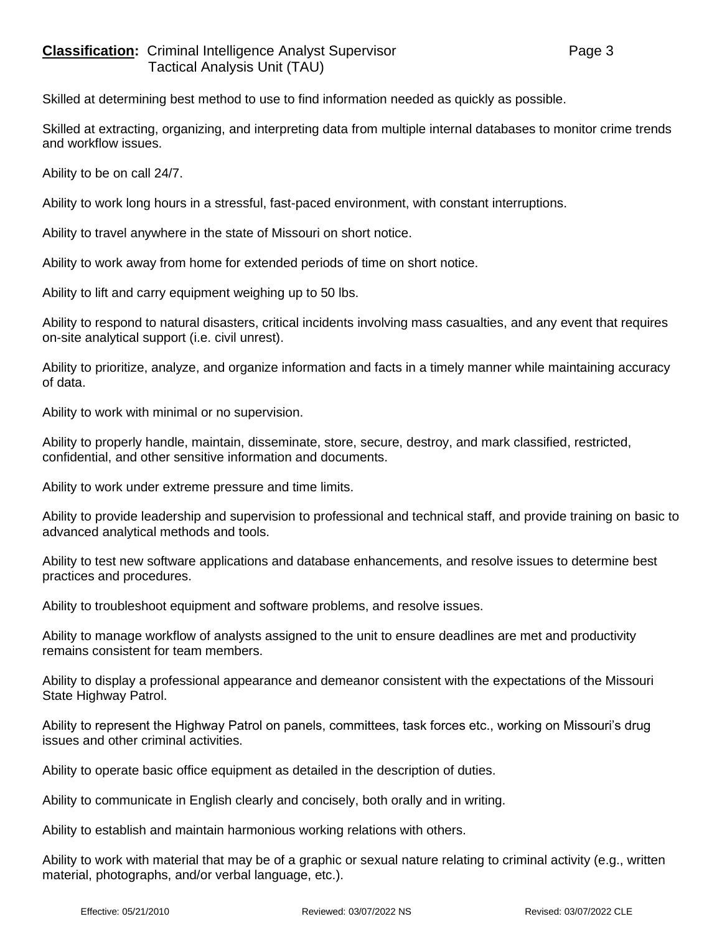Skilled at determining best method to use to find information needed as quickly as possible.

Skilled at extracting, organizing, and interpreting data from multiple internal databases to monitor crime trends and workflow issues.

Ability to be on call 24/7.

Ability to work long hours in a stressful, fast-paced environment, with constant interruptions.

Ability to travel anywhere in the state of Missouri on short notice.

Ability to work away from home for extended periods of time on short notice.

Ability to lift and carry equipment weighing up to 50 lbs.

Ability to respond to natural disasters, critical incidents involving mass casualties, and any event that requires on-site analytical support (i.e. civil unrest).

Ability to prioritize, analyze, and organize information and facts in a timely manner while maintaining accuracy of data.

Ability to work with minimal or no supervision.

Ability to properly handle, maintain, disseminate, store, secure, destroy, and mark classified, restricted, confidential, and other sensitive information and documents.

Ability to work under extreme pressure and time limits.

Ability to provide leadership and supervision to professional and technical staff, and provide training on basic to advanced analytical methods and tools.

Ability to test new software applications and database enhancements, and resolve issues to determine best practices and procedures.

Ability to troubleshoot equipment and software problems, and resolve issues.

Ability to manage workflow of analysts assigned to the unit to ensure deadlines are met and productivity remains consistent for team members.

Ability to display a professional appearance and demeanor consistent with the expectations of the Missouri State Highway Patrol.

Ability to represent the Highway Patrol on panels, committees, task forces etc., working on Missouri's drug issues and other criminal activities.

Ability to operate basic office equipment as detailed in the description of duties.

Ability to communicate in English clearly and concisely, both orally and in writing.

Ability to establish and maintain harmonious working relations with others.

Ability to work with material that may be of a graphic or sexual nature relating to criminal activity (e.g., written material, photographs, and/or verbal language, etc.).